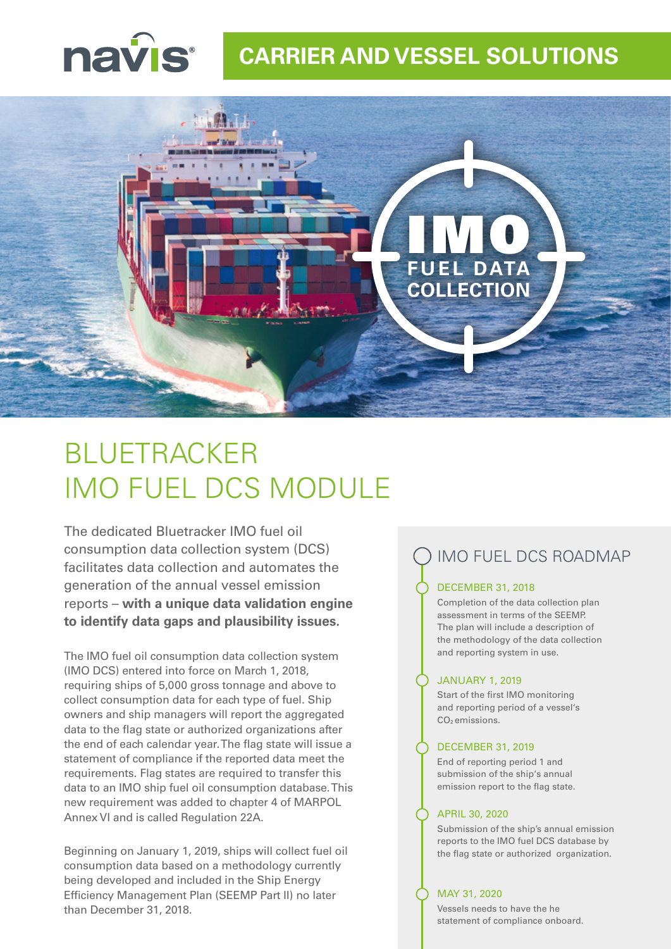

### **CARRIER AND VESSEL SOLUTIONS**



# BLUETRACKER IMO FUEL DCS MODULE

The dedicated Bluetracker IMO fuel oil consumption data collection system (DCS) facilitates data collection and automates the generation of the annual vessel emission reports – **with a unique data validation engine to identify data gaps and plausibility issues.**

The IMO fuel oil consumption data collection system (IMO DCS) entered into force on March 1, 2018, requiring ships of 5,000 gross tonnage and above to collect consumption data for each type of fuel. Ship owners and ship managers will report the aggregated data to the flag state or authorized organizations after the end of each calendar year. The flag state will issue a statement of compliance if the reported data meet the requirements. Flag states are required to transfer this data to an IMO ship fuel oil consumption database. This new requirement was added to chapter 4 of MARPOL Annex VI and is called Regulation 22A.

Beginning on January 1, 2019, ships will collect fuel oil consumption data based on a methodology currently being developed and included in the Ship Energy Efficiency Management Plan (SEEMP Part II) no later than December 31, 2018.

### IMO FUEL DCS ROADMAP

#### DECEMBER 31, 2018

Completion of the data collection plan assessment in terms of the SEEMP. The plan will include a description of the methodology of the data collection and reporting system in use.

#### JANUARY 1, 2019

Start of the first IMO monitoring and reporting period of a vessel's CO<sub>2</sub> emissions.

#### DECEMBER 31, 2019

End of reporting period 1 and submission of the ship's annual emission report to the flag state.

#### APRIL 30, 2020

Submission of the ship's annual emission reports to the IMO fuel DCS database by the flag state or authorized organization.

#### MAY 31, 2020

Vessels needs to have the he statement of compliance onboard.